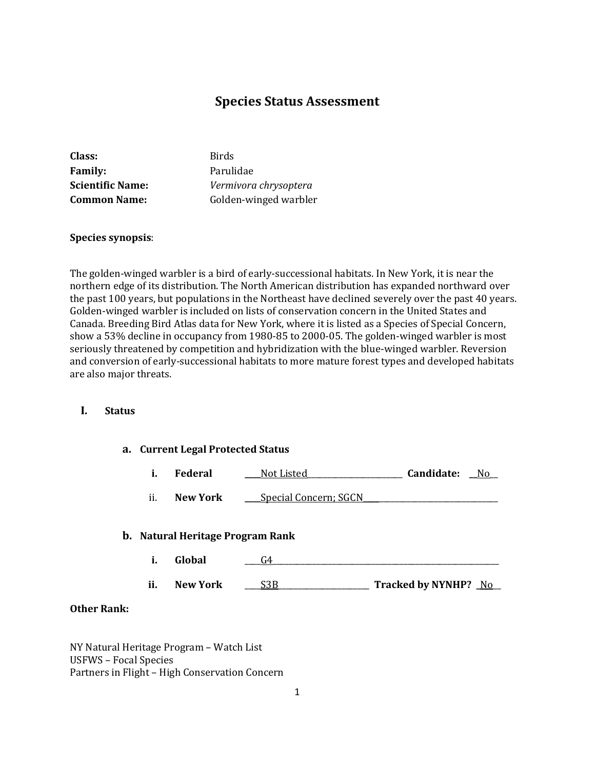# **Species Status Assessment**

| Class:                  | <b>Birds</b>          |
|-------------------------|-----------------------|
| <b>Family:</b>          | Parulidae             |
| <b>Scientific Name:</b> | Vermivora chrysoptera |
| <b>Common Name:</b>     | Golden-winged warbler |

### **Species synopsis**:

The golden-winged warbler is a bird of early-successional habitats. In New York, it is near the northern edge of its distribution. The North American distribution has expanded northward over the past 100 years, but populations in the Northeast have declined severely over the past 40 years. Golden-winged warbler is included on lists of conservation concern in the United States and Canada. Breeding Bird Atlas data for New York, where it is listed as a Species of Special Concern, show a 53% decline in occupancy from 1980-85 to 2000-05. The golden-winged warbler is most seriously threatened by competition and hybridization with the blue-winged warbler. Reversion and conversion of early-successional habitats to more mature forest types and developed habitats are also major threats.

### **I. Status**

### **a. Current Legal Protected Status**

| <b>Federal</b> | Not Listed | Candidate: | Nc |
|----------------|------------|------------|----|
|                |            |            |    |

ii. **New York \_\_\_\_**Special Concern; SGCN

#### **b. Natural Heritage Program Rank**

**i. Global** \_\_\_\_G4\_\_\_\_\_\_\_\_\_\_\_\_\_\_\_\_\_\_\_\_\_\_\_\_\_\_\_\_\_\_\_\_\_\_\_\_\_\_\_\_\_\_\_\_\_\_\_\_\_\_\_\_\_\_\_\_\_ **ii. New York** \_\_\_\_S3B\_\_\_\_\_\_\_\_\_\_\_\_\_\_\_\_\_\_\_\_\_\_\_ **Tracked by NYNHP? \_**No\_\_

#### **Other Rank:**

NY Natural Heritage Program – Watch List USFWS – Focal Species Partners in Flight – High Conservation Concern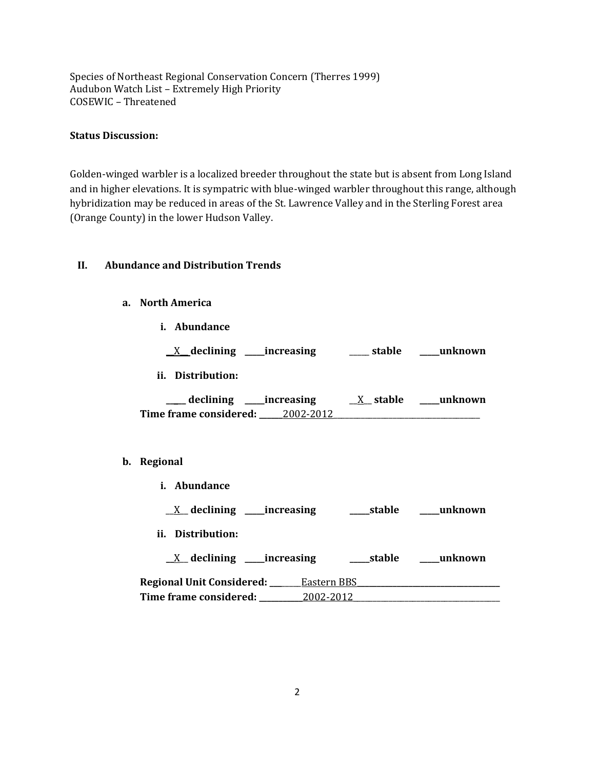Species of Northeast Regional Conservation Concern (Therres 1999) Audubon Watch List – Extremely High Priority COSEWIC – Threatened

## **Status Discussion:**

Golden-winged warbler is a localized breeder throughout the state but is absent from Long Island and in higher elevations. It is sympatric with blue-winged warbler throughout this range, although hybridization may be reduced in areas of the St. Lawrence Valley and in the Sterling Forest area (Orange County) in the lower Hudson Valley.

### **II. Abundance and Distribution Trends**

- **a. North America**
	- **i. Abundance**

|  | $\chi$ declining | increasing | stable | unknown |
|--|------------------|------------|--------|---------|
|--|------------------|------------|--------|---------|

**ii. Distribution:**

| declining              | increasing | X stable | unknown |
|------------------------|------------|----------|---------|
| Time frame considered: | 2002-2012  |          |         |

### **b. Regional**

| <i>i.</i> Abundance             |             |            |         |
|---------------------------------|-------------|------------|---------|
| $X$ declining ______increasing  |             | ____stable | unknown |
| ii. Distribution:               |             |            |         |
| $X$ declining ______ increasing |             | ____stable | unknown |
| Regional Unit Considered: ___   | Eastern BBS |            |         |
| Time frame considered:          | 2002-2012   |            |         |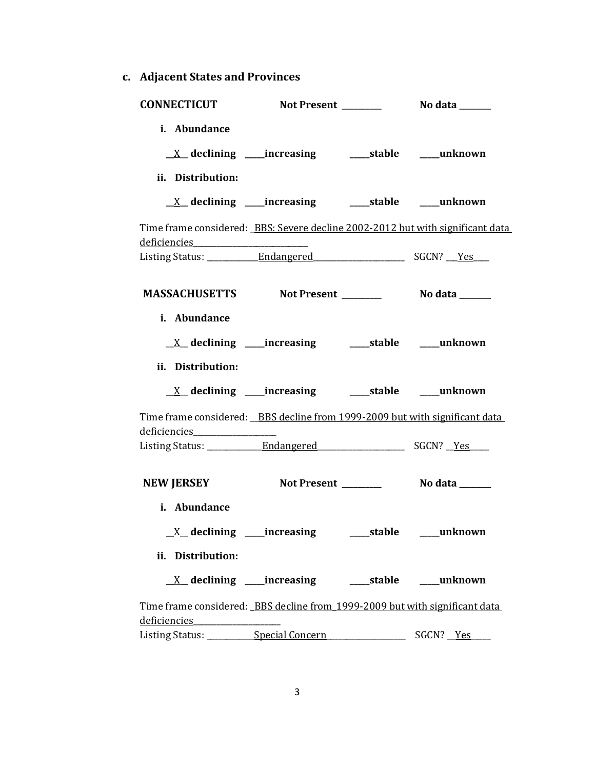**c. Adjacent States and Provinces**

| <b>CONNECTICUT</b>                                                                                                                                                                            |                                                                                                                        |                |
|-----------------------------------------------------------------------------------------------------------------------------------------------------------------------------------------------|------------------------------------------------------------------------------------------------------------------------|----------------|
| i. Abundance<br>ii. Distribution:                                                                                                                                                             | <u>X</u> declining ____increasing ______stable _____unknown                                                            |                |
|                                                                                                                                                                                               | <u>X</u> declining ____increasing ______stable ____unknown                                                             |                |
| Time frame considered: BBS: Severe decline 2002-2012 but with significant data<br>deficiencies _________________________                                                                      |                                                                                                                        |                |
|                                                                                                                                                                                               |                                                                                                                        |                |
| MASSACHUSETTS Not Present _________ No data ______                                                                                                                                            |                                                                                                                        |                |
| i. Abundance<br>ii. Distribution:                                                                                                                                                             | <u>X</u> declining ____increasing ______stable ____unknown                                                             |                |
|                                                                                                                                                                                               |                                                                                                                        |                |
| Time frame considered: BBS decline from 1999-2009 but with significant data<br>deficiencies entrancements                                                                                     |                                                                                                                        |                |
|                                                                                                                                                                                               |                                                                                                                        |                |
| <b>NEW JERSEY</b>                                                                                                                                                                             | Not Present ________                                                                                                   | No data ______ |
| i. Abundance                                                                                                                                                                                  |                                                                                                                        |                |
|                                                                                                                                                                                               |                                                                                                                        | ___unknown     |
| ii. Distribution:                                                                                                                                                                             |                                                                                                                        |                |
|                                                                                                                                                                                               | <u>X</u> declining increasing and details the declining determined a stable details and a summation of the declination |                |
| Time frame considered: BBS decline from 1999-2009 but with significant data<br>deficiencies expansional contract of the set of the set of the set of the set of the set of the set of the set |                                                                                                                        |                |

Listing Status: \_\_\_\_\_\_\_\_\_\_\_\_Special Concern\_\_\_\_\_\_\_\_\_\_\_\_\_\_\_\_\_\_\_\_\_\_\_\_\_\_\_\_\_\_\_ SGCN? \_\_Yes\_\_\_\_\_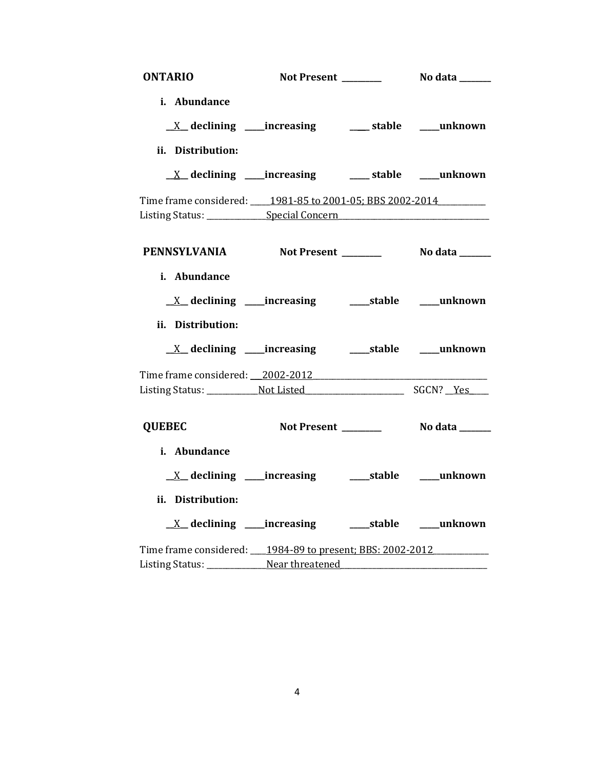| <b>ONTARIO</b>                                                                   |                                                                          |                            |
|----------------------------------------------------------------------------------|--------------------------------------------------------------------------|----------------------------|
| i. Abundance                                                                     |                                                                          |                            |
|                                                                                  | $\underline{X}$ declining ____increasing ___________stable ______unknown |                            |
| ii. Distribution:                                                                |                                                                          |                            |
|                                                                                  | $\underline{X}$ declining ____increasing ___________stable ______unknown |                            |
| Time frame considered: 1981-85 to 2001-05; BBS 2002-2014                         |                                                                          |                            |
| Listing Status: ______________Special Concern __________________________________ |                                                                          |                            |
|                                                                                  |                                                                          |                            |
| PENNSYLVANIA Not Present No data ______                                          |                                                                          |                            |
|                                                                                  |                                                                          |                            |
| i. Abundance                                                                     |                                                                          |                            |
|                                                                                  |                                                                          |                            |
| ii. Distribution:                                                                |                                                                          |                            |
|                                                                                  |                                                                          |                            |
| Time frame considered: 2002-2012                                                 |                                                                          |                            |
|                                                                                  |                                                                          |                            |
|                                                                                  |                                                                          |                            |
| <b>QUEBEC</b>                                                                    | Not Present _______                                                      | No data ______             |
| i. Abundance                                                                     |                                                                          |                            |
| $X$ declining _____increasing                                                    |                                                                          | ______stable ______unknown |
| ii. Distribution:                                                                |                                                                          |                            |
|                                                                                  |                                                                          |                            |
| Time frame considered: 1984-89 to present; BBS: 2002-2012                        |                                                                          |                            |
| Listing Status: _________________Near threatened________________________________ |                                                                          |                            |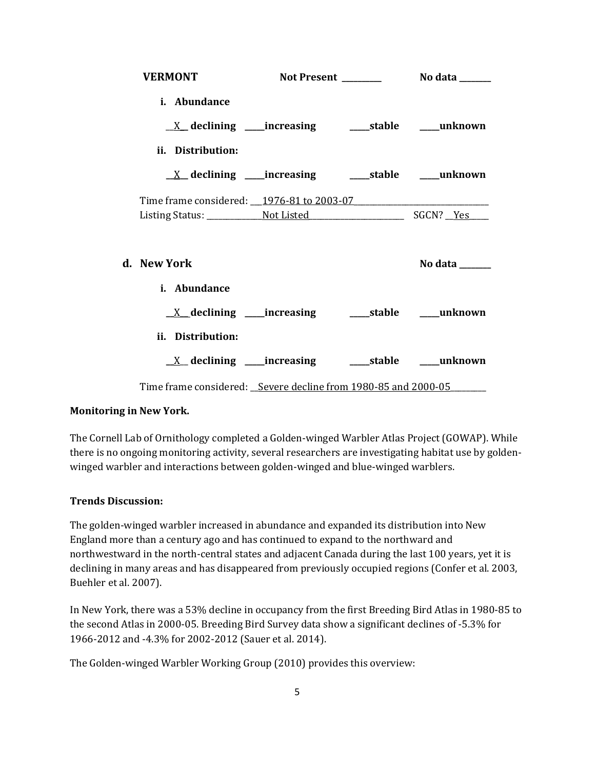| <b>VERMONT</b>                                                            |  | Not Present ________ No data _____ |
|---------------------------------------------------------------------------|--|------------------------------------|
| i. Abundance                                                              |  |                                    |
| $\underline{X}$ declining ____increasing ___________stable _______unknown |  |                                    |
| ii. Distribution:                                                         |  |                                    |
| <u>_X</u> _declining ____increasing ______stable ____unknown              |  |                                    |
| Time frame considered: 1976-81 to 2003-07                                 |  |                                    |
|                                                                           |  |                                    |
| d. – New York                                                             |  | No data $\_\_\_\_\_\_\_\_\_\_\$    |
| i. Abundance                                                              |  |                                    |
| <u>_X declining ___</u> increasing _____stable ____unknown                |  |                                    |
| ii. Distribution:                                                         |  |                                    |
| $\underline{X}$ declining ____increasing __________stable ______unknown   |  |                                    |
| Time frame considered: Severe decline from 1980-85 and 2000-05            |  |                                    |

### **Monitoring in New York.**

The Cornell Lab of Ornithology completed a Golden-winged Warbler Atlas Project (GOWAP). While there is no ongoing monitoring activity, several researchers are investigating habitat use by goldenwinged warbler and interactions between golden-winged and blue-winged warblers.

### **Trends Discussion:**

The golden-winged warbler increased in abundance and expanded its distribution into New England more than a century ago and has continued to expand to the northward and northwestward in the north-central states and adjacent Canada during the last 100 years, yet it is declining in many areas and has disappeared from previously occupied regions (Confer et al. 2003, Buehler et al. 2007).

In New York, there was a 53% decline in occupancy from the first Breeding Bird Atlas in 1980-85 to the second Atlas in 2000-05. Breeding Bird Survey data show a significant declines of -5.3% for 1966-2012 and -4.3% for 2002-2012 (Sauer et al. 2014).

The Golden-winged Warbler Working Group (2010) provides this overview: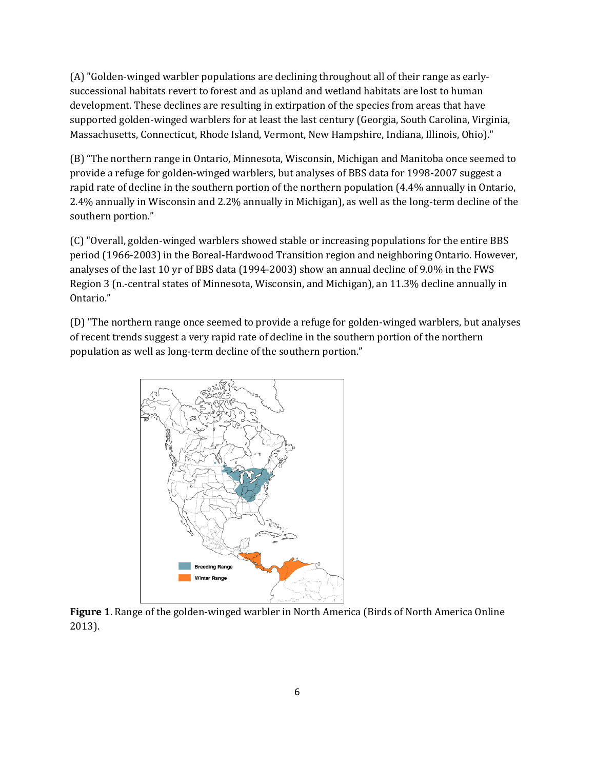(A) "Golden-winged warbler populations are declining throughout all of their range as earlysuccessional habitats revert to forest and as upland and wetland habitats are lost to human development. These declines are resulting in extirpation of the species from areas that have supported golden-winged warblers for at least the last century (Georgia, South Carolina, Virginia, Massachusetts, Connecticut, Rhode Island, Vermont, New Hampshire, Indiana, Illinois, Ohio)."

(B) "The northern range in Ontario, Minnesota, Wisconsin, Michigan and Manitoba once seemed to provide a refuge for golden-winged warblers, but analyses of BBS data for 1998-2007 suggest a rapid rate of decline in the southern portion of the northern population (4.4% annually in Ontario, 2.4% annually in Wisconsin and 2.2% annually in Michigan), as well as the long-term decline of the southern portion."

(C) "Overall, golden-winged warblers showed stable or increasing populations for the entire BBS period (1966-2003) in the Boreal-Hardwood Transition region and neighboring Ontario. However, analyses of the last 10 yr of BBS data (1994-2003) show an annual decline of 9.0% in the FWS Region 3 (n.-central states of Minnesota, Wisconsin, and Michigan), an 11.3% decline annually in Ontario."

(D) "The northern range once seemed to provide a refuge for golden-winged warblers, but analyses of recent trends suggest a very rapid rate of decline in the southern portion of the northern population as well as long-term decline of the southern portion."



**Figure 1**. Range of the golden-winged warbler in North America (Birds of North America Online 2013).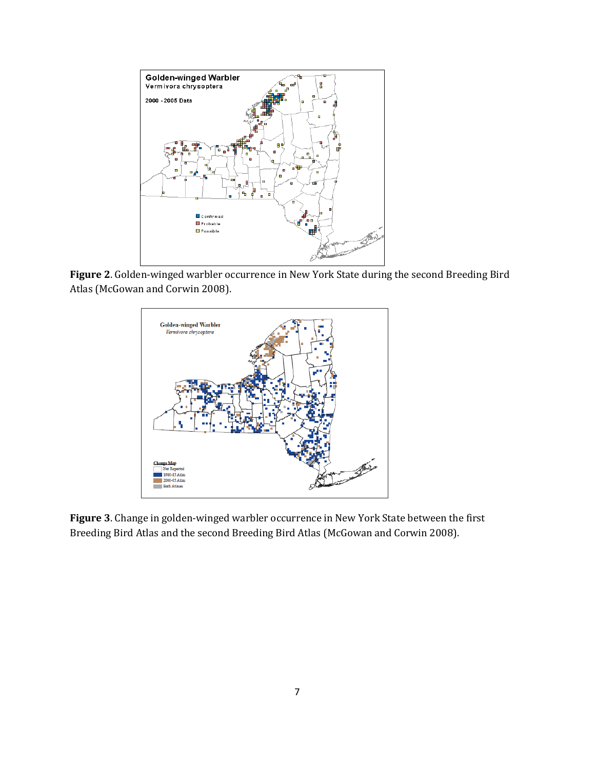

**Figure 2**. Golden-winged warbler occurrence in New York State during the second Breeding Bird Atlas (McGowan and Corwin 2008).



**Figure 3**. Change in golden-winged warbler occurrence in New York State between the first Breeding Bird Atlas and the second Breeding Bird Atlas (McGowan and Corwin 2008).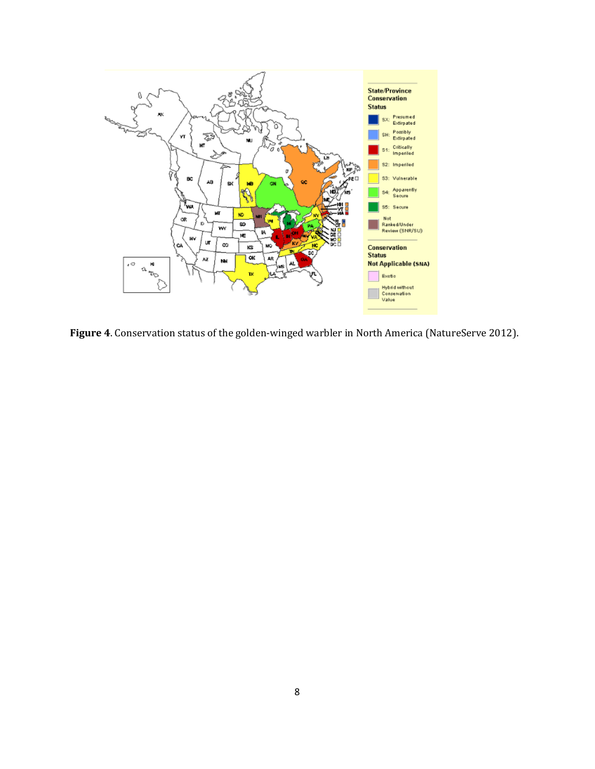

**Figure 4**. Conservation status of the golden-winged warbler in North America (NatureServe 2012).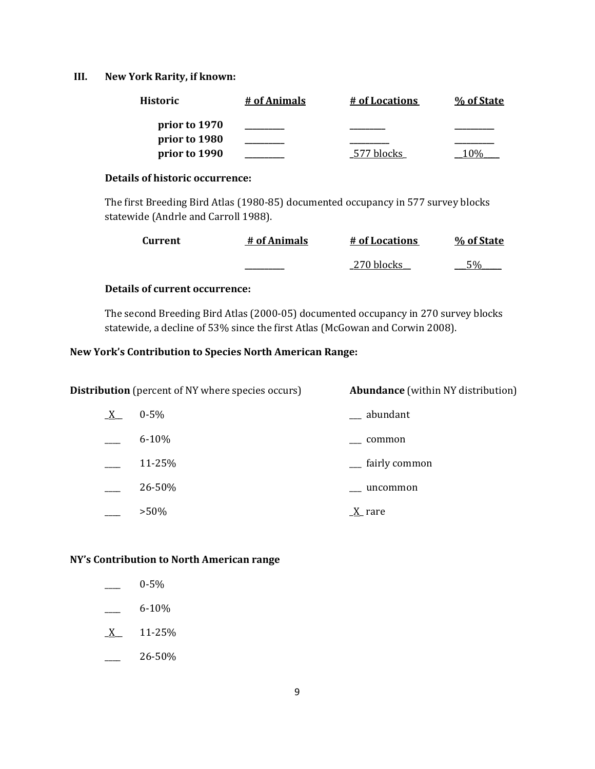### **III. New York Rarity, if known:**

| <b>Historic</b> | # of Animals | # of Locations | % of State |
|-----------------|--------------|----------------|------------|
| prior to 1970   |              |                |            |
| prior to 1980   |              |                |            |
| prior to 1990   |              | -577 blocks    |            |

### **Details of historic occurrence:**

The first Breeding Bird Atlas (1980-85) documented occupancy in 577 survey blocks statewide (Andrle and Carroll 1988).

| <b>Current</b> | # of Animals | # of Locations | % of State |
|----------------|--------------|----------------|------------|
|                |              | 270 blocks     | 5%         |

## **Details of current occurrence:**

The second Breeding Bird Atlas (2000-05) documented occupancy in 270 survey blocks statewide, a decline of 53% since the first Atlas (McGowan and Corwin 2008).

### **New York's Contribution to Species North American Range:**

| <b>Distribution</b> (percent of NY where species occurs) |           | <b>Abundance</b> (within NY distribution) |
|----------------------------------------------------------|-----------|-------------------------------------------|
| $X_{-}$                                                  | $0 - 5\%$ | __ abundant                               |
|                                                          | $6 - 10%$ | common                                    |
|                                                          | 11-25%    | <sub>-</sub> fairly common                |
|                                                          | 26-50%    | uncommon                                  |
|                                                          | $>50\%$   | $\underline{X}$ rare                      |

### **NY's Contribution to North American range**

- $-$  6-10%
- $X$  11-25%
- $-26-50%$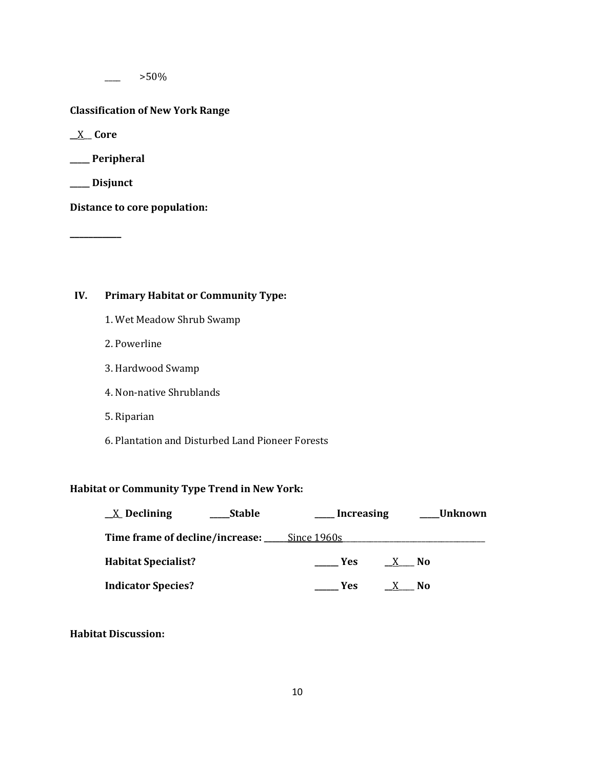$>50\%$ 

### **Classification of New York Range**

**\_\_**X\_\_ **Core**

**\_\_\_\_\_ Peripheral**

**\_\_\_\_\_ Disjunct**

**\_\_\_\_\_\_\_\_\_\_\_**

**Distance to core population:**

# **IV. Primary Habitat or Community Type:**

- 1. Wet Meadow Shrub Swamp
- 2. Powerline
- 3. Hardwood Swamp
- 4. Non-native Shrublands
- 5. Riparian
- 6. Plantation and Disturbed Land Pioneer Forests

# **Habitat or Community Type Trend in New York:**

| $X$ Declining                               | <b>Stable</b> | Increasing |      | Unknown |
|---------------------------------------------|---------------|------------|------|---------|
| Time frame of decline/increase: Since 1960s |               |            |      |         |
| <b>Habitat Specialist?</b>                  |               | Yes        | - No |         |
| <b>Indicator Species?</b>                   |               | Yes        | No.  |         |

**Habitat Discussion:**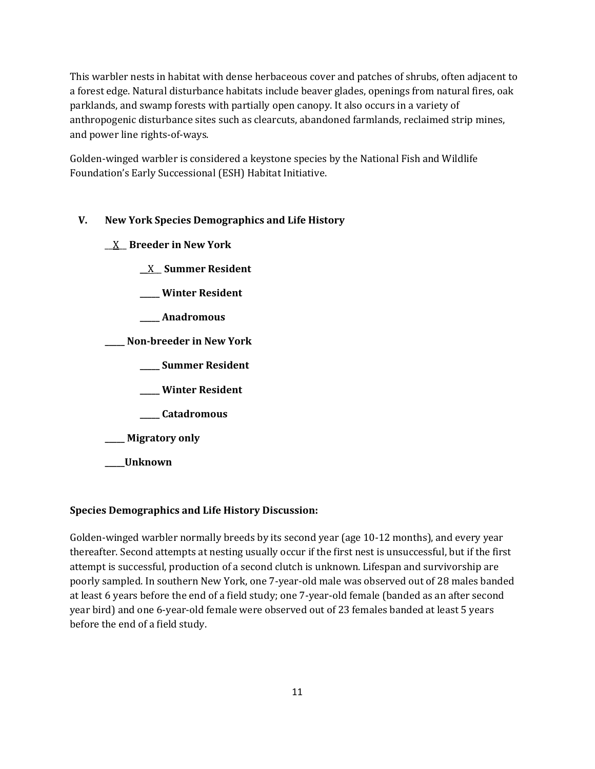This warbler nests in habitat with dense herbaceous cover and patches of shrubs, often adjacent to a forest edge. Natural disturbance habitats include beaver glades, openings from natural fires, oak parklands, and swamp forests with partially open canopy. It also occurs in a variety of anthropogenic disturbance sites such as clearcuts, abandoned farmlands, reclaimed strip mines, and power line rights-of-ways.

Golden-winged warbler is considered a keystone species by the National Fish and Wildlife Foundation's Early Successional (ESH) Habitat Initiative.

# **V. New York Species Demographics and Life History**

- \_\_X\_\_ **Breeder in New York**
	- **\_\_**X\_\_ **Summer Resident**
	- **\_\_\_\_\_ Winter Resident**
	- **\_\_\_\_\_ Anadromous**
- **\_\_\_\_\_ Non-breeder in New York**
	- **\_\_\_\_\_ Summer Resident**
	- **\_\_\_\_\_ Winter Resident**
	- **\_\_\_\_\_ Catadromous**
- **\_\_\_\_\_ Migratory only**
- **\_\_\_\_\_Unknown**

# **Species Demographics and Life History Discussion:**

Golden-winged warbler normally breeds by its second year (age 10-12 months), and every year thereafter. Second attempts at nesting usually occur if the first nest is unsuccessful, but if the first attempt is successful, production of a second clutch is unknown. Lifespan and survivorship are poorly sampled. In southern New York, one 7-year-old male was observed out of 28 males banded at least 6 years before the end of a field study; one 7-year-old female (banded as an after second year bird) and one 6-year-old female were observed out of 23 females banded at least 5 years before the end of a field study.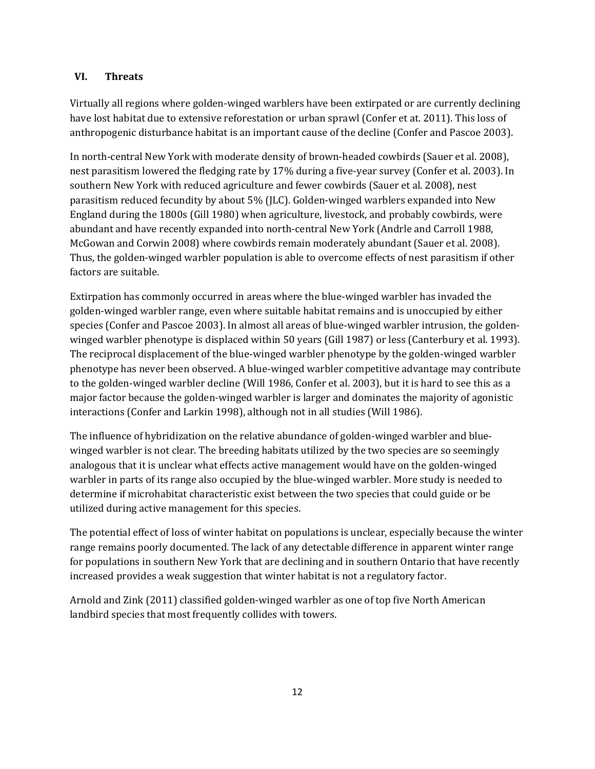### **VI. Threats**

Virtually all regions where golden-winged warblers have been extirpated or are currently declining have lost habitat due to extensive reforestation or urban sprawl (Confer et at. 2011). This loss of anthropogenic disturbance habitat is an important cause of the decline (Confer and Pascoe 2003).

In north-central New York with moderate density of brown-headed cowbirds (Sauer et al. 2008), nest parasitism lowered the fledging rate by 17% during a five-year survey (Confer et al. 2003). In southern New York with reduced agriculture and fewer cowbirds (Sauer et al. 2008), nest parasitism reduced fecundity by about 5% (JLC). Golden-winged warblers expanded into New England during the 1800s (Gill 1980) when agriculture, livestock, and probably cowbirds, were abundant and have recently expanded into north-central New York (Andrle and Carroll 1988, McGowan and Corwin 2008) where cowbirds remain moderately abundant (Sauer et al. 2008). Thus, the golden-winged warbler population is able to overcome effects of nest parasitism if other factors are suitable.

Extirpation has commonly occurred in areas where the blue-winged warbler has invaded the golden-winged warbler range, even where suitable habitat remains and is unoccupied by either species (Confer and Pascoe 2003). In almost all areas of blue-winged warbler intrusion, the goldenwinged warbler phenotype is displaced within 50 years (Gill 1987) or less (Canterbury et al. 1993). The reciprocal displacement of the blue-winged warbler phenotype by the golden-winged warbler phenotype has never been observed. A blue-winged warbler competitive advantage may contribute to the golden-winged warbler decline (Will 1986, Confer et al. 2003), but it is hard to see this as a major factor because the golden-winged warbler is larger and dominates the majority of agonistic interactions (Confer and Larkin 1998), although not in all studies (Will 1986).

The influence of hybridization on the relative abundance of golden-winged warbler and bluewinged warbler is not clear. The breeding habitats utilized by the two species are so seemingly analogous that it is unclear what effects active management would have on the golden-winged warbler in parts of its range also occupied by the blue-winged warbler. More study is needed to determine if microhabitat characteristic exist between the two species that could guide or be utilized during active management for this species.

The potential effect of loss of winter habitat on populations is unclear, especially because the winter range remains poorly documented. The lack of any detectable difference in apparent winter range for populations in southern New York that are declining and in southern Ontario that have recently increased provides a weak suggestion that winter habitat is not a regulatory factor.

Arnold and Zink (2011) classified golden-winged warbler as one of top five North American landbird species that most frequently collides with towers.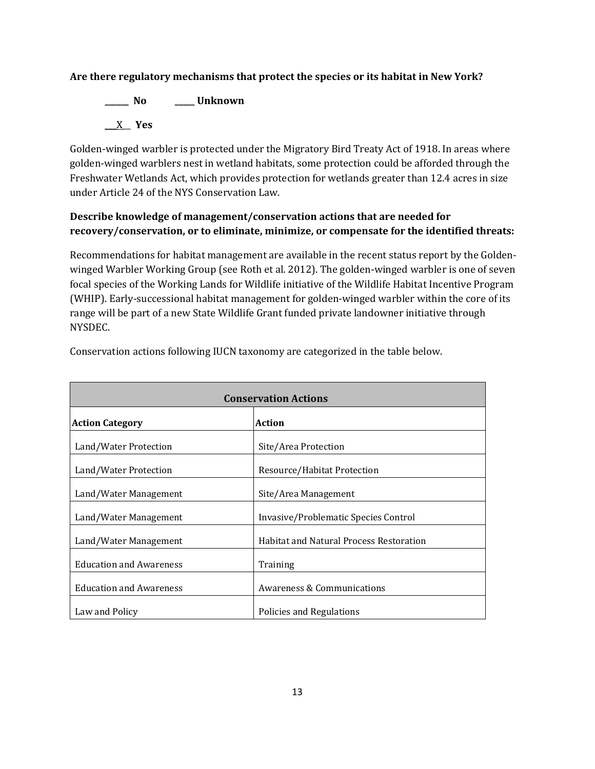## **Are there regulatory mechanisms that protect the species or its habitat in New York?**

**\_\_\_\_\_\_ No \_\_\_\_\_ Unknown** \_\_\_X\_\_ **Yes**

Golden-winged warbler is protected under the Migratory Bird Treaty Act of 1918. In areas where golden-winged warblers nest in wetland habitats, some protection could be afforded through the Freshwater Wetlands Act, which provides protection for wetlands greater than 12.4 acres in size under Article 24 of the NYS Conservation Law.

# **Describe knowledge of management/conservation actions that are needed for recovery/conservation, or to eliminate, minimize, or compensate for the identified threats:**

Recommendations for habitat management are available in the recent status report by the Goldenwinged Warbler Working Group (see Roth et al. 2012). The golden-winged warbler is one of seven focal species of the Working Lands for Wildlife initiative of the Wildlife Habitat Incentive Program (WHIP). Early-successional habitat management for golden-winged warbler within the core of its range will be part of a new State Wildlife Grant funded private landowner initiative through NYSDEC.

| <b>Conservation Actions</b>    |                                                |  |  |
|--------------------------------|------------------------------------------------|--|--|
| <b>Action Category</b>         | Action                                         |  |  |
| Land/Water Protection          | Site/Area Protection                           |  |  |
| Land/Water Protection          | Resource/Habitat Protection                    |  |  |
| Land/Water Management          | Site/Area Management                           |  |  |
| Land/Water Management          | Invasive/Problematic Species Control           |  |  |
| Land/Water Management          | <b>Habitat and Natural Process Restoration</b> |  |  |
| <b>Education and Awareness</b> | Training                                       |  |  |
| <b>Education and Awareness</b> | <b>Awareness &amp; Communications</b>          |  |  |
| Law and Policy                 | Policies and Regulations                       |  |  |

Conservation actions following IUCN taxonomy are categorized in the table below.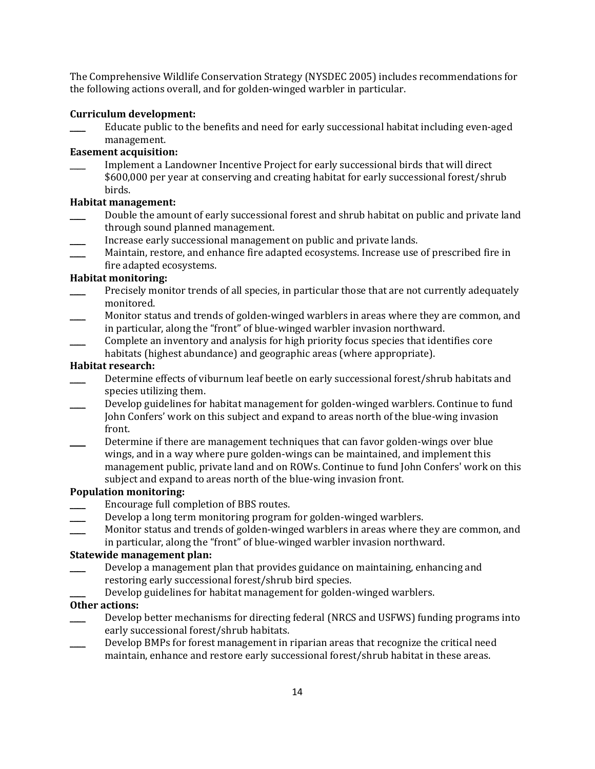The Comprehensive Wildlife Conservation Strategy (NYSDEC 2005) includes recommendations for the following actions overall, and for golden-winged warbler in particular.

### **Curriculum development:**

\_\_\_\_ Educate public to the benefits and need for early successional habitat including even-aged management.

## **Easement acquisition:**

\_\_\_\_ Implement a Landowner Incentive Project for early successional birds that will direct \$600,000 per year at conserving and creating habitat for early successional forest/shrub birds.

## **Habitat management:**

- Double the amount of early successional forest and shrub habitat on public and private land through sound planned management.
- Increase early successional management on public and private lands.
- Maintain, restore, and enhance fire adapted ecosystems. Increase use of prescribed fire in fire adapted ecosystems.

## **Habitat monitoring:**

- Precisely monitor trends of all species, in particular those that are not currently adequately monitored.
- Monitor status and trends of golden-winged warblers in areas where they are common, and in particular, along the "front" of blue-winged warbler invasion northward.
- \_\_\_\_ Complete an inventory and analysis for high priority focus species that identifies core habitats (highest abundance) and geographic areas (where appropriate).

## **Habitat research:**

- Determine effects of viburnum leaf beetle on early successional forest/shrub habitats and species utilizing them.
- \_\_\_\_ Develop guidelines for habitat management for golden-winged warblers. Continue to fund John Confers' work on this subject and expand to areas north of the blue-wing invasion front.
- Determine if there are management techniques that can favor golden-wings over blue wings, and in a way where pure golden-wings can be maintained, and implement this management public, private land and on ROWs. Continue to fund John Confers' work on this subject and expand to areas north of the blue-wing invasion front.

## **Population monitoring:**

- Encourage full completion of BBS routes.
- Develop a long term monitoring program for golden-winged warblers.
- Monitor status and trends of golden-winged warblers in areas where they are common, and in particular, along the "front" of blue-winged warbler invasion northward.

### **Statewide management plan:**

- Develop a management plan that provides guidance on maintaining, enhancing and restoring early successional forest/shrub bird species.
- Develop guidelines for habitat management for golden-winged warblers.

## **Other actions:**

- Develop better mechanisms for directing federal (NRCS and USFWS) funding programs into early successional forest/shrub habitats.
- Develop BMPs for forest management in riparian areas that recognize the critical need maintain, enhance and restore early successional forest/shrub habitat in these areas.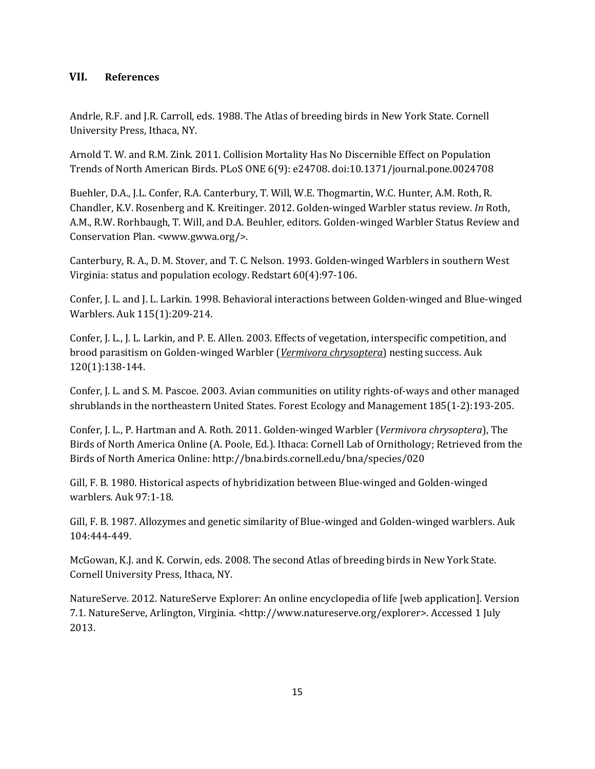## **VII. References**

Andrle, R.F. and J.R. Carroll, eds. 1988. The Atlas of breeding birds in New York State. Cornell University Press, Ithaca, NY.

Arnold T. W. and R.M. Zink. 2011. Collision Mortality Has No Discernible Effect on Population Trends of North American Birds. PLoS ONE 6(9): e24708. doi:10.1371/journal.pone.0024708

Buehler, D.A., J.L. Confer, R.A. Canterbury, T. Will, W.E. Thogmartin, W.C. Hunter, A.M. Roth, R. Chandler, K.V. Rosenberg and K. Kreitinger. 2012. Golden-winged Warbler status review. *In* Roth, A.M., R.W. Rorhbaugh, T. Will, and D.A. Beuhler, editors. Golden-winged Warbler Status Review and Conservation Plan. <www.gwwa.org/>.

Canterbury, R. A., D. M. Stover, and T. C. Nelson. 1993. Golden-winged Warblers in southern West Virginia: status and population ecology. Redstart 60(4):97-106.

Confer, J. L. and J. L. Larkin. 1998. Behavioral interactions between Golden-winged and Blue-winged Warblers. Auk 115(1):209-214.

Confer, J. L., J. L. Larkin, and P. E. Allen. 2003. Effects of vegetation, interspecific competition, and brood parasitism on Golden-winged Warbler (*Vermivora chrysoptera*) nesting success. Auk 120(1):138-144.

Confer, J. L. and S. M. Pascoe. 2003. Avian communities on utility rights-of-ways and other managed shrublands in the northeastern United States. Forest Ecology and Management 185(1-2):193-205.

Confer, J. L., P. Hartman and A. Roth. 2011. Golden-winged Warbler (*Vermivora chrysoptera*), The Birds of North America Online (A. Poole, Ed.). Ithaca: Cornell Lab of Ornithology; Retrieved from the Birds of North America Online: http://bna.birds.cornell.edu/bna/species/020

Gill, F. B. 1980. Historical aspects of hybridization between Blue-winged and Golden-winged warblers. Auk 97:1-18.

Gill, F. B. 1987. Allozymes and genetic similarity of Blue-winged and Golden-winged warblers. Auk 104:444-449.

McGowan, K.J. and K. Corwin, eds. 2008. The second Atlas of breeding birds in New York State. Cornell University Press, Ithaca, NY.

NatureServe. 2012. NatureServe Explorer: An online encyclopedia of life [web application]. Version 7.1. NatureServe, Arlington, Virginia. <http://www.natureserve.org/explorer>. Accessed 1 July 2013.